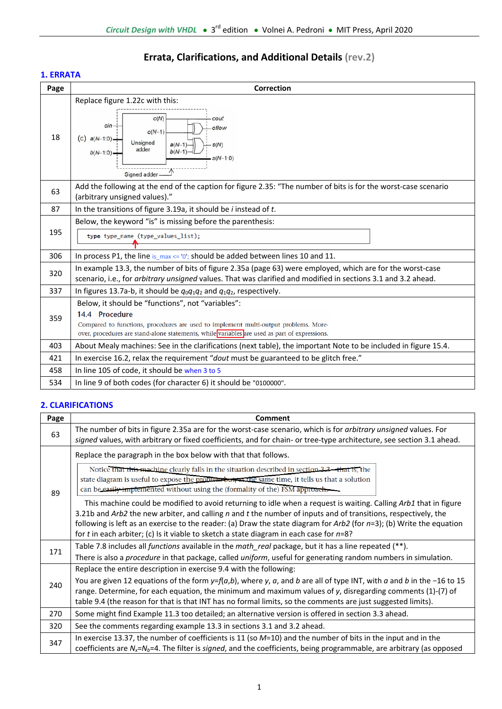# **Errata, Clarifications, and Additional Details (rev.2)**

## **1. ERRATA**

| Page | <b>Correction</b>                                                                                                                                                                                                                                            |  |  |  |
|------|--------------------------------------------------------------------------------------------------------------------------------------------------------------------------------------------------------------------------------------------------------------|--|--|--|
| 18   | Replace figure 1.22c with this:<br>c(N)<br>cout<br>cin-<br>oflow<br>$c(N-1)$<br>(c)<br>$a(N-1:0)$<br>Unsigned<br>$a(N-1)$<br>s(N)<br>adder<br>$b(N-1)$<br>$b(N-1:0)$<br>$s(N-1:0)$<br>Signed adder                                                           |  |  |  |
| 63   | Add the following at the end of the caption for figure 2.35: "The number of bits is for the worst-case scenario<br>(arbitrary unsigned values)."                                                                                                             |  |  |  |
| 87   | In the transitions of figure 3.19a, it should be $i$ instead of $t$ .                                                                                                                                                                                        |  |  |  |
| 195  | Below, the keyword "is" is missing before the parenthesis:<br>type type_name (type_values_list);                                                                                                                                                             |  |  |  |
| 306  | In process P1, the line is $max \le 0$ ; should be added between lines 10 and 11.                                                                                                                                                                            |  |  |  |
| 320  | In example 13.3, the number of bits of figure 2.35a (page 63) were employed, which are for the worst-case<br>scenario, i.e., for arbitrary unsigned values. That was clarified and modified in sections 3.1 and 3.2 ahead.                                   |  |  |  |
| 337  | In figures 13.7a-b, it should be $q_0q_1q_2$ and $q_1q_2$ , respectively.                                                                                                                                                                                    |  |  |  |
| 359  | Below, it should be "functions", not "variables":<br>14.4 Procedure<br>Compared to functions, procedures are used to implement multi-output problems. More-<br>over, procedures are stand-alone statements, while variables are used as part of expressions. |  |  |  |
| 403  | About Mealy machines: See in the clarifications (next table), the important Note to be included in figure 15.4.                                                                                                                                              |  |  |  |
| 421  | In exercise 16.2, relax the requirement "dout must be guaranteed to be glitch free."                                                                                                                                                                         |  |  |  |
| 458  | In line 105 of code, it should be when 3 to 5                                                                                                                                                                                                                |  |  |  |
| 534  | In line 9 of both codes (for character 6) it should be "0100000".                                                                                                                                                                                            |  |  |  |

## **2. CLARIFICATIONS**

| Page | Comment                                                                                                                                                                                                                                                                                                                                                                                                                                                                 |  |  |  |
|------|-------------------------------------------------------------------------------------------------------------------------------------------------------------------------------------------------------------------------------------------------------------------------------------------------------------------------------------------------------------------------------------------------------------------------------------------------------------------------|--|--|--|
| 63   | The number of bits in figure 2.35a are for the worst-case scenario, which is for <i>arbitrary unsigned</i> values. For<br>signed values, with arbitrary or fixed coefficients, and for chain- or tree-type architecture, see section 3.1 ahead.                                                                                                                                                                                                                         |  |  |  |
| 89   | Replace the paragraph in the box below with that that follows.<br>Notice that this machine clearly falls in the situation described in section 3.3—that Is, the<br>state diagram is useful to expose the problem but, at the same time, it tells us that a solution<br>can be easily implemented without using the (formality of the) FSM approach.<br>This machine could be modified to avoid returning to idle when a request is waiting. Calling Arb1 that in figure |  |  |  |
|      | 3.21b and Arb2 the new arbiter, and calling n and t the number of inputs and of transitions, respectively, the<br>following is left as an exercise to the reader: (a) Draw the state diagram for $Arb2$ (for $n=3$ ); (b) Write the equation<br>for t in each arbiter; (c) Is it viable to sketch a state diagram in each case for $n=8$ ?                                                                                                                              |  |  |  |
| 171  | Table 7.8 includes all functions available in the math_real package, but it has a line repeated (**).<br>There is also a procedure in that package, called uniform, useful for generating random numbers in simulation.                                                                                                                                                                                                                                                 |  |  |  |
| 240  | Replace the entire description in exercise 9.4 with the following:<br>You are given 12 equations of the form $y=f(a,b)$ , where y, a, and b are all of type INT, with a and b in the -16 to 15<br>range. Determine, for each equation, the minimum and maximum values of $y$ , disregarding comments (1)-(7) of<br>table 9.4 (the reason for that is that INT has no formal limits, so the comments are just suggested limits).                                         |  |  |  |
| 270  | Some might find Example 11.3 too detailed; an alternative version is offered in section 3.3 ahead.                                                                                                                                                                                                                                                                                                                                                                      |  |  |  |
| 320  | See the comments regarding example 13.3 in sections 3.1 and 3.2 ahead.                                                                                                                                                                                                                                                                                                                                                                                                  |  |  |  |
| 347  | In exercise 13.37, the number of coefficients is 11 (so $M=10$ ) and the number of bits in the input and in the<br>coefficients are $N_x = N_b = 4$ . The filter is signed, and the coefficients, being programmable, are arbitrary (as opposed                                                                                                                                                                                                                         |  |  |  |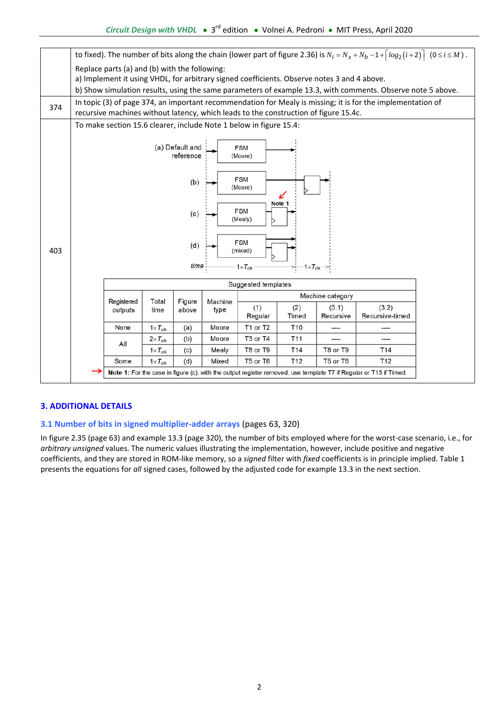

## **3. ADDITIONAL DETAILS**

### **3.1 Number of bits in signed multiplier‐adder arrays** (pages 63, 320)

In figure 2.35 (page 63) and example 13.3 (page 320), the number of bits employed where for the worst-case scenario, i.e., for *arbitrary unsigned* values. The numeric values illustrating the implementation, however, include positive and negative coefficients, and they are stored in ROM‐like memory, so a *signed* filter with *fixed* coefficients is in principle implied. Table 1 presents the equations for *all* signed cases, followed by the adjusted code for example 13.3 in the next section.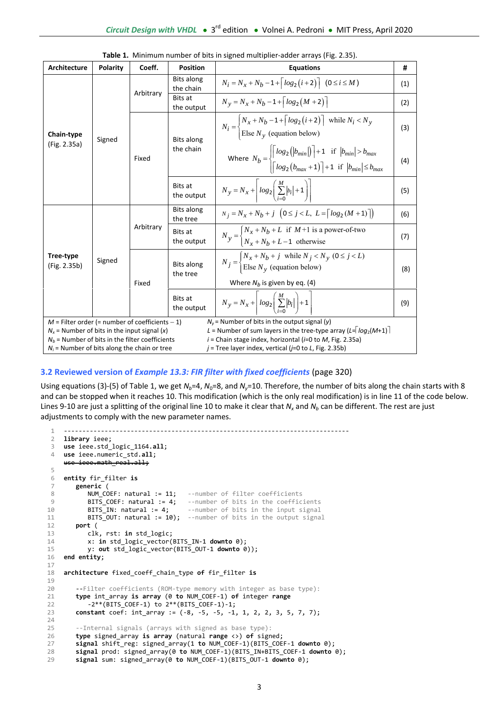| Architecture                                                                                                                                                                                                                         | <b>Polarity</b> | Coeff.    | <b>Position</b>                | <b>Equations</b>                                                                                                                                                                      | #   |
|--------------------------------------------------------------------------------------------------------------------------------------------------------------------------------------------------------------------------------------|-----------------|-----------|--------------------------------|---------------------------------------------------------------------------------------------------------------------------------------------------------------------------------------|-----|
|                                                                                                                                                                                                                                      | Signed          | Arbitrary | <b>Bits along</b><br>the chain | $N_i = N_x + N_b - 1 + \lceil log_2(i+2) \rceil$ (0 ≤ i ≤ M)                                                                                                                          | (1) |
|                                                                                                                                                                                                                                      |                 |           | Bits at<br>the output          | $N_v = N_x + N_b - 1 + \lceil log_2(M + 2) \rceil$                                                                                                                                    | (2) |
| Chain-type                                                                                                                                                                                                                           |                 | Fixed     | Bits along<br>the chain        | $N_i = \begin{cases} N_x + N_b - 1 +  log_2(i + 2)  \\ \text{Else } N_y \text{ (equation below)} \end{cases}$ while $N_i < N_y$                                                       | (3) |
| (Fig. 2.35a)                                                                                                                                                                                                                         |                 |           |                                | Where $N_b = \begin{cases} \log_2( b_{min} ) + 1 & \text{if }  b_{min}  > b_{max} \\ \left\lceil \log_2(b_{max} + 1) \right\rceil + 1 & \text{if }  b_{min}  \le b_{max} \end{cases}$ | (4) |
|                                                                                                                                                                                                                                      |                 |           | Bits at<br>the output          | $N_y = N_x + \left  \log_2 \left( \sum_{i=0}^{M}  b_i  + 1 \right) \right $                                                                                                           | (5) |
|                                                                                                                                                                                                                                      | Signed          | Arbitrary | Bits along<br>the tree         | $N_i = N_x + N_b + j \left(0 \le j \le L, L = \lceil log_2(M + 1) \rceil \right)$                                                                                                     | (6) |
|                                                                                                                                                                                                                                      |                 |           | <b>Bits at</b><br>the output   | $N_y =\begin{cases} N_x + N_b + L & \text{if } M+1 \text{ is a power-of-two} \\ N_x + N_b + L - 1 & \text{otherwise} \end{cases}$                                                     | (7) |
| Tree-type<br>(Fig. 2.35b)                                                                                                                                                                                                            |                 | Fixed     | <b>Bits along</b><br>the tree  | $N_j = \begin{cases} N_x + N_b + j & \text{while } N_j < N_y \ (0 \le j < L) \\ \text{Else } N_y & \text{(equation below)} \end{cases}$<br>Where $N_b$ is given by eq. (4)            | (8) |
|                                                                                                                                                                                                                                      |                 |           | <b>Bits at</b><br>the output   | $N_y = N_x + \left[ \log_2 \left( \sum_{i=0}^{M}  b_i  \right) + 1 \right]$                                                                                                           | (9) |
| $N_v$ = Number of bits in the output signal (y)<br>$M$ = Filter order (= number of coefficients - 1)<br>L = Number of sum layers in the tree-type array ( $L = \log_2(M+1)$ )<br>$N_x$ = Number of bits in the input signal (x)      |                 |           |                                |                                                                                                                                                                                       |     |
| $N_b$ = Number of bits in the filter coefficients<br>$i$ = Chain stage index, horizontal ( $i$ =0 to M, Fig. 2.35a)<br>$N_i$ = Number of bits along the chain or tree<br>$j$ = Tree layer index, vertical ( $j$ =0 to L, Fig. 2.35b) |                 |           |                                |                                                                                                                                                                                       |     |
|                                                                                                                                                                                                                                      |                 |           |                                |                                                                                                                                                                                       |     |

| Table 1. Minimum number of bits in signed multiplier-adder arrays (Fig. 2.35). |  |  |
|--------------------------------------------------------------------------------|--|--|
|--------------------------------------------------------------------------------|--|--|

### **3.2 Reviewed version of** *Example 13.3: FIR filter with fixed coefficients* (page 320)

Using equations (3)-(5) of Table 1, we get  $N_b=4$ ,  $N_0=8$ , and  $N_v=10$ . Therefore, the number of bits along the chain starts with 8 and can be stopped when it reaches 10. This modification (which is the only real modification) is in line 11 of the code below. Lines 9-10 are just a splitting of the original line 10 to make it clear that  $N_x$  and  $N_b$  can be different. The rest are just adjustments to comply with the new parameter names.

```
1
 2^{\circ}3
use ieee.std_logic_1164.all;
 4
 5
 6
 7
 8
 9
10
11
12
13
14
15
16
17
18
19
20
21
22
232425
26
27
28
29
    ‐‐‐‐‐‐‐‐‐‐‐‐‐‐‐‐‐‐‐‐‐‐‐‐‐‐‐‐‐‐‐‐‐‐‐‐‐‐‐‐‐‐‐‐‐‐‐‐‐‐‐‐‐‐‐‐‐‐‐‐‐‐‐‐‐‐‐‐‐‐‐‐‐‐‐‐‐ 
    library ieee;
    use ieee.numeric_std.all;  
         ieee.mathireal.all;
    entity fir_filter is
        generic (
           NUM COEF: natural := 11;   --number of filter coefficients
           BITS_COEF: natural := 4; --number of bits in the coefficients<br>BITS_IN: natural := 4; --number of bits in the input signal
                                        --number of bits in the input signal
           BITS OUT: natural := 10); --number of bits in the output signal
        port (
               clk, rst: in std_logic;
           x: in std logic vector(BITS IN-1 downto 0);
               y: out std_logic_vector(BITS_OUT‐1 downto 0));
    end entity;
    architecture fixed_coeff_chain_type of fir_filter is
          ‐‐Filter coefficients (ROM‐type memory with integer as base type):
        type int_array is array (0 to NUM_COEF‐1) of integer range  
             ‐2**(BITS_COEF‐1) to 2**(BITS_COEF‐1)‐1;
        constant coef: int_array := (‐8, ‐5, ‐5, ‐1, 1, 2, 2, 3, 5, 7, 7);
        ‐‐Internal signals (arrays with signed as base type):
        type signed_array is array (natural range <>) of signed;
        signal shift_reg: signed_array(1 to NUM_COEF‐1)(BITS_COEF‐1 downto 0);
        signal prod: signed_array(0 to NUM_COEF‐1)(BITS_IN+BITS_COEF‐1 downto 0);
        signal sum: signed_array(0 to NUM_COEF‐1)(BITS_OUT‐1 downto 0);
```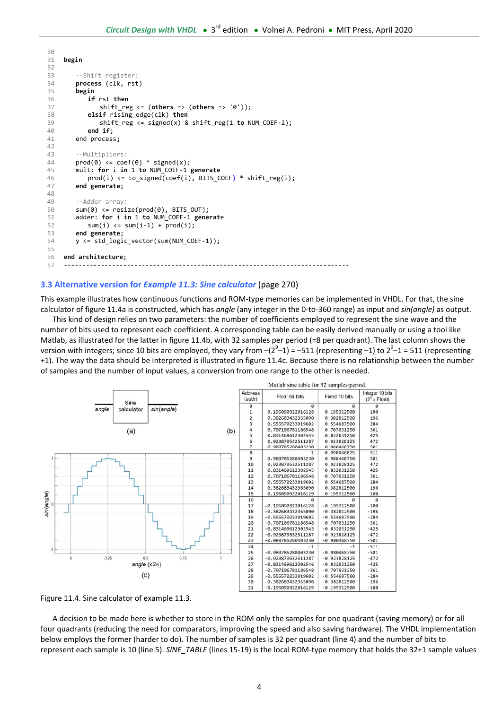```
30
31
32
33
34
35
36
37
38
39
40
41
42
43
44
45
46
47
48
49
50
51
52
53
54
55
56
57
    begin
        ‐‐Shift register:
        process (clk, rst)
        begin
                if rst then
                   shift_reg <= (others => (others => '0'));
                elsif rising_edge(clk) then  
                   shift_reg <= signed(x) & shift_reg(1 to NUM_COEF‐2);
                end if;
        end process;
        ‐‐Multipliers:
        prod(0) \leq cot(0) * signal(x);mult: for i in 1 to NUM_COEF‐1 generate
                prod(i) <= to_signed(coef(i), BITS_COEF) * shift_reg(i);
        end generate;
        ‐‐Adder array:
        sum(\emptyset) \leq residue(prod(\emptyset), BITS_0UT);adder: for i in 1 to NUM_COEF‐1 generate
            sum(i) \leq sum(i-1) + prod(i);end generate;
        y <= std_logic_vector(sum(NUM_COEF‐1));
    end architecture;    
     ‐‐‐‐‐‐‐‐‐‐‐‐‐‐‐‐‐‐‐‐‐‐‐‐‐‐‐‐‐‐‐‐‐‐‐‐‐‐‐‐‐‐‐‐‐‐‐‐‐‐‐‐‐‐‐‐‐‐‐‐‐‐‐‐‐‐‐‐‐‐‐‐‐‐‐‐‐
```
#### **3.3 Alternative version for** *Example 11.3: Sine calculator* (page 270)

This example illustrates how continuous functions and ROM‐type memories can be implemented in VHDL. For that, the sine calculator of figure 11.4a is constructed, which has *angle* (any integer in the 0‐to‐360 range) as input and *sin(angle)* as output.

 This kind of design relies on two parameters: the number of coefficients employed to represent the sine wave and the number of bits used to represent each coefficient. A corresponding table can be easily derived manually or using a tool like Matlab, as illustrated for the latter in figure 11.4b, with 32 samples per period (=8 per quadrant). The last column shows the version with integers; since 10 bits are employed, they vary from  $-(2^9-1)$  = -511 (representing -1) to  $2^9-1$  = 511 (representing +1). The way the data should be interpreted is illustrated in figure 11.4c. Because there is no relationship between the number of samples and the number of input values, a conversion from one range to the other is needed.



Figure 11.4. Sine calculator of example 11.3.

 A decision to be made here is whether to store in the ROM only the samples for one quadrant (saving memory) or for all four quadrants (reducing the need for comparators, improving the speed and also saving hardware). The VHDL implementation below employs the former (harder to do). The number of samples is 32 per quadrant (line 4) and the number of bits to represent each sample is 10 (line 5). *SINE TABLE* (lines 15-19) is the local ROM-type memory that holds the 32+1 sample values